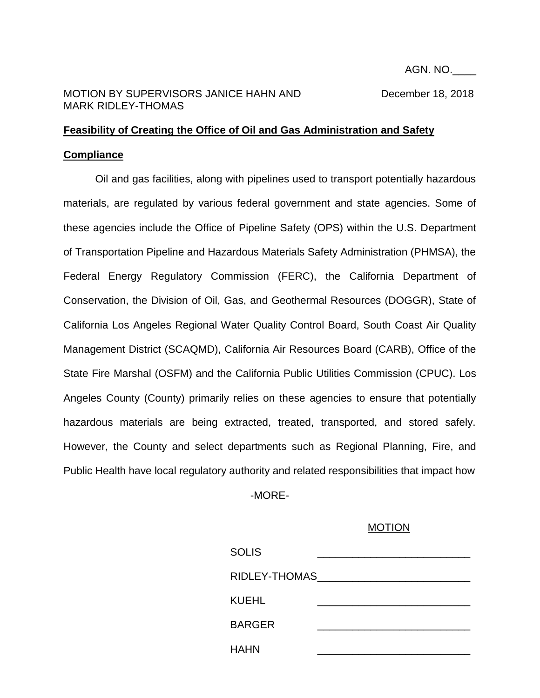## MOTION BY SUPERVISORS JANICE HAHN AND December 18, 2018 MARK RIDLEY-THOMAS

## **Feasibility of Creating the Office of Oil and Gas Administration and Safety Compliance**

Oil and gas facilities, along with pipelines used to transport potentially hazardous materials, are regulated by various federal government and state agencies. Some of these agencies include the Office of Pipeline Safety (OPS) within the U.S. Department of Transportation Pipeline and Hazardous Materials Safety Administration (PHMSA), the Federal Energy Regulatory Commission (FERC), the California Department of Conservation, the Division of Oil, Gas, and Geothermal Resources (DOGGR), State of California Los Angeles Regional Water Quality Control Board, South Coast Air Quality Management District (SCAQMD), California Air Resources Board (CARB), Office of the State Fire Marshal (OSFM) and the California Public Utilities Commission (CPUC). Los Angeles County (County) primarily relies on these agencies to ensure that potentially hazardous materials are being extracted, treated, transported, and stored safely. However, the County and select departments such as Regional Planning, Fire, and Public Health have local regulatory authority and related responsibilities that impact how

-MORE-

## MOTION

| <b>SOLIS</b>  |  |
|---------------|--|
| RIDLEY-THOMAS |  |
| KUEHL         |  |
| <b>BARGER</b> |  |
| HAHN          |  |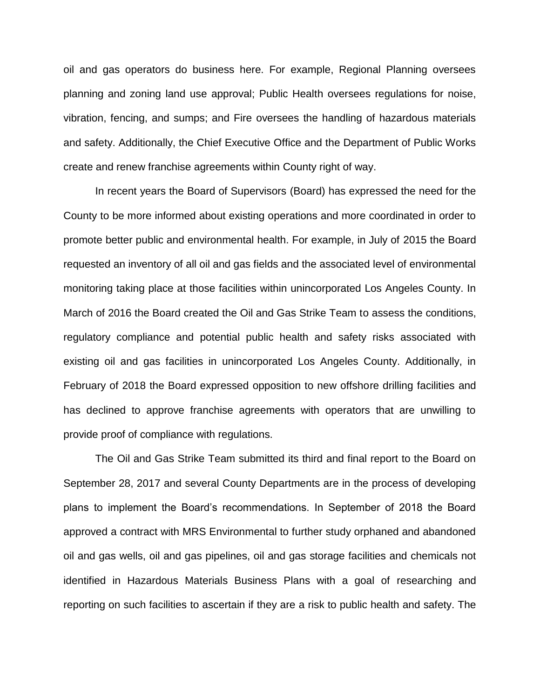oil and gas operators do business here. For example, Regional Planning oversees planning and zoning land use approval; Public Health oversees regulations for noise, vibration, fencing, and sumps; and Fire oversees the handling of hazardous materials and safety. Additionally, the Chief Executive Office and the Department of Public Works create and renew franchise agreements within County right of way.

In recent years the Board of Supervisors (Board) has expressed the need for the County to be more informed about existing operations and more coordinated in order to promote better public and environmental health. For example, in July of 2015 the Board requested an inventory of all oil and gas fields and the associated level of environmental monitoring taking place at those facilities within unincorporated Los Angeles County. In March of 2016 the Board created the Oil and Gas Strike Team to assess the conditions, regulatory compliance and potential public health and safety risks associated with existing oil and gas facilities in unincorporated Los Angeles County. Additionally, in February of 2018 the Board expressed opposition to new offshore drilling facilities and has declined to approve franchise agreements with operators that are unwilling to provide proof of compliance with regulations.

The Oil and Gas Strike Team submitted its third and final report to the Board on September 28, 2017 and several County Departments are in the process of developing plans to implement the Board's recommendations. In September of 2018 the Board approved a contract with MRS Environmental to further study orphaned and abandoned oil and gas wells, oil and gas pipelines, oil and gas storage facilities and chemicals not identified in Hazardous Materials Business Plans with a goal of researching and reporting on such facilities to ascertain if they are a risk to public health and safety. The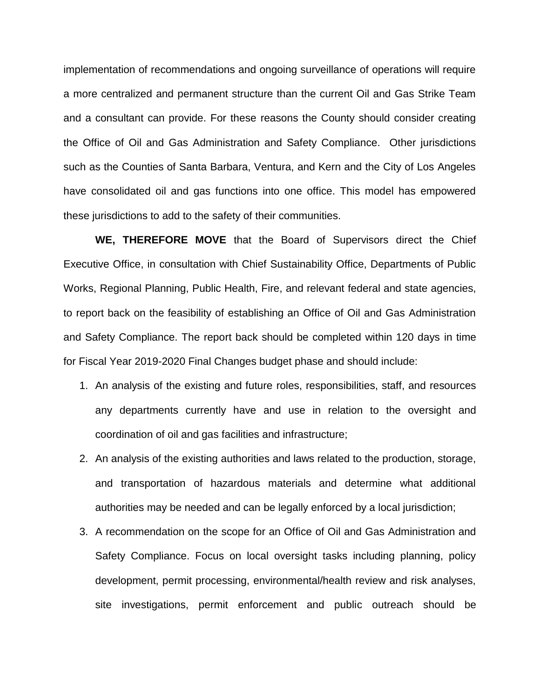implementation of recommendations and ongoing surveillance of operations will require a more centralized and permanent structure than the current Oil and Gas Strike Team and a consultant can provide. For these reasons the County should consider creating the Office of Oil and Gas Administration and Safety Compliance. Other jurisdictions such as the Counties of Santa Barbara, Ventura, and Kern and the City of Los Angeles have consolidated oil and gas functions into one office. This model has empowered these jurisdictions to add to the safety of their communities.

**WE, THEREFORE MOVE** that the Board of Supervisors direct the Chief Executive Office, in consultation with Chief Sustainability Office, Departments of Public Works, Regional Planning, Public Health, Fire, and relevant federal and state agencies, to report back on the feasibility of establishing an Office of Oil and Gas Administration and Safety Compliance. The report back should be completed within 120 days in time for Fiscal Year 2019-2020 Final Changes budget phase and should include:

- 1. An analysis of the existing and future roles, responsibilities, staff, and resources any departments currently have and use in relation to the oversight and coordination of oil and gas facilities and infrastructure;
- 2. An analysis of the existing authorities and laws related to the production, storage, and transportation of hazardous materials and determine what additional authorities may be needed and can be legally enforced by a local jurisdiction;
- 3. A recommendation on the scope for an Office of Oil and Gas Administration and Safety Compliance. Focus on local oversight tasks including planning, policy development, permit processing, environmental/health review and risk analyses, site investigations, permit enforcement and public outreach should be